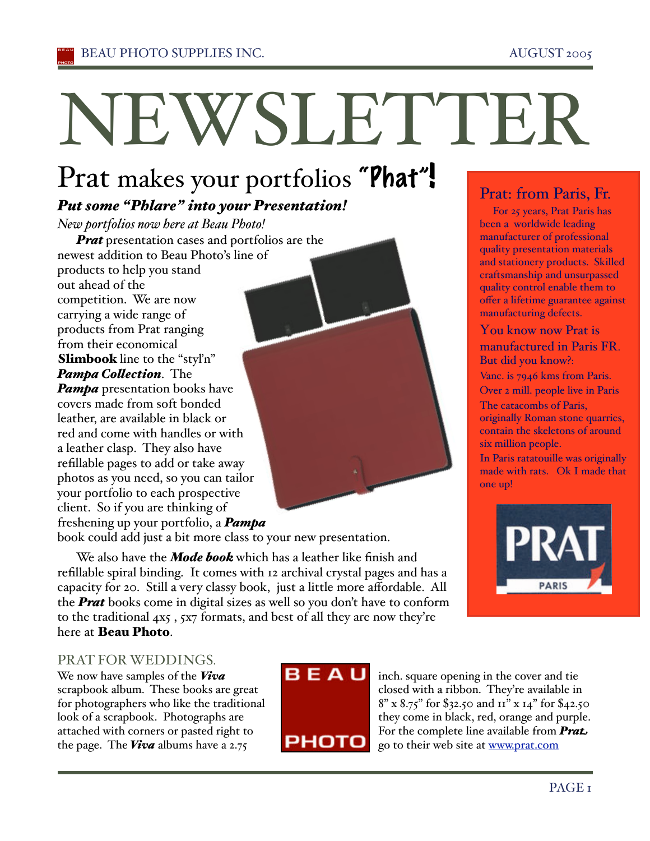# NEWSLETTER

# Prat makes your portfolios "Phat"!

# *Put some "Phlare" into your Presentation!*

*New portfolios now here at Beau Photo!* 

*Prat* presentation cases and portfolios are the newest addition to Beau Photo's line of products to help you stand out ahead of the competition. We are now carrying a wide range of products from Prat ranging from their economical Slimbook line to the "styl'n" *Pampa Collection.* The *Pampa* presentation books have covers made from soft bonded leather, are available in black or red and come with handles or with a leather clasp. They also have refillable pages to add or take away photos as you need, so you can tailor your portfolio to each prospective client. So if you are thinking of freshening up your portfolio, a *Pampa* 

book could add just a bit more class to your new presentation.

We also have the *Mode book* which has a leather like finish and refillable spiral binding. It comes with 12 archival crystal pages and has a capacity for 20. Still a very classy book, just a little more affordable. All the *Prat* books come in digital sizes as well so you don't have to conform to the traditional 4x5 , 5x7 formats, and best of all they are now they're here at Beau Photo.

# Prat: from Paris, Fr.<br>For 25 years, Prat Paris has

been a worldwide leading manufacturer of professional quality presentation materials and stationery products. Skilled craftsmanship and unsurpassed quality control enable them to offer a lifetime guarantee against manufacturing defects.

# You know now Prat is manufactured in Paris FR. But did you know?:

Vanc. is 7946 kms from Paris.

Over 2 mill. people live in Paris The catacombs of Paris,

originally Roman stone quarries, contain the skeletons of around six million people.

In Paris ratatouille was originally made with rats. Ok I made that one up!



# PRAT FOR WEDDINGS.

We now have samples of the *Viva*  scrapbook album. These books are great for photographers who like the traditional look of a scrapbook. Photographs are attached with corners or pasted right to the page. The *Viva* albums have a 2.75



inch. square opening in the cover and tie closed with a ribbon. They're available in 8" x 8.75" for \$32.50 and 11" x 14" for \$42.50 they come in black, red, orange and purple. For the complete line available from **Prat** go to their web site at www.prat.com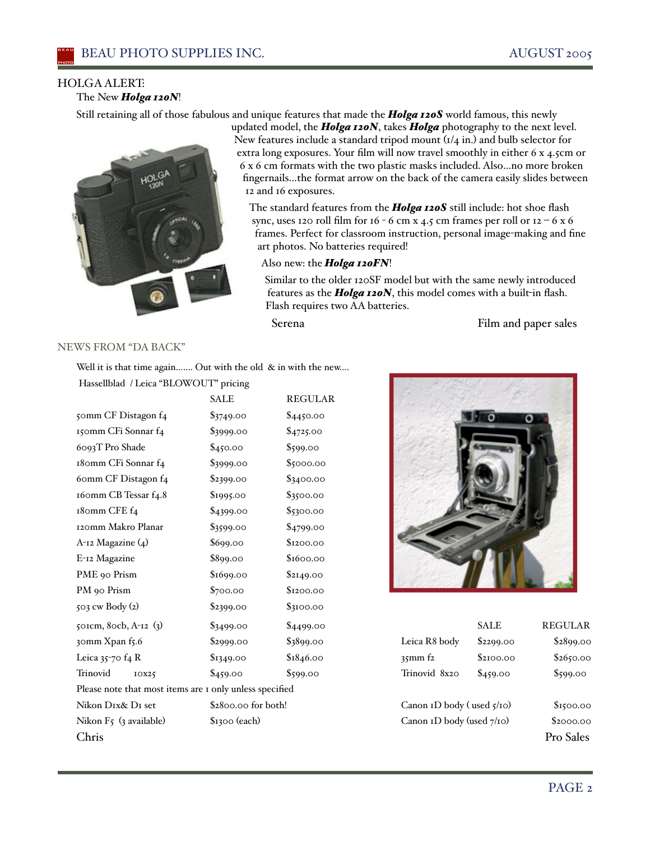## HOLGA ALERT:

The New *Holga 120N*!

Still retaining all of those fabulous and unique features that made the *Holga 120S* world famous, this newly



updated model, the *Holga 120N*, takes *Holga* photography to the next level. New features include a standard tripod mount  $\left(\frac{1}{4} \text{ in.}\right)$  and bulb selector for extra long exposures. Your film will now travel smoothly in either 6 x 4.5cm or 6 x 6 cm formats with the two plastic masks included. Also…no more broken fingernails…the format arrow on the back of the camera easily slides between 12 and 16 exposures.

The standard features from the *Holga 120S* still include: hot shoe flash sync, uses 120 roll film for 16 - 6 cm x 4.5 cm frames per roll or  $12 - 6x6$ frames. Perfect for classroom instruction, personal image-making and fine art photos. No batteries required!

#### Also new: the *Holga 120FN*!

Similar to the older 120SF model but with the same newly introduced features as the *Holga 120N*, this model comes with a built-in flash. Flash requires two AA batteries.

Serena Film and paper sales

# NEWS FROM "DA BACK"

Well it is that time again....... Out with the old & in with the new....

Hassellblad / Leica "BLOWOUT" pricing

|                                                         | <b>SALE</b>         | <b>REGULAR</b> |                           |             |                |
|---------------------------------------------------------|---------------------|----------------|---------------------------|-------------|----------------|
| 50mm CF Distagon f4                                     | $\$3749.00$         | \$4450.00      |                           |             |                |
| 150mm CFi Sonnar f4                                     | \$3999.00           | \$4725.00      |                           |             |                |
| 6093T Pro Shade                                         | \$450.00            | \$599.00       |                           |             |                |
| 180mm CFi Sonnar f4                                     | \$3999.00           | \$5000.00      |                           |             |                |
| 60mm CF Distagon f4                                     | \$2399.00           | \$3400.00      |                           |             |                |
| 160mm CB Tessar f4.8                                    | \$1995.00           | \$3500.00      |                           |             |                |
| 180mm CFE f4                                            | \$4399.00           | \$5300.00      |                           |             |                |
| 120mm Makro Planar                                      | \$3599.00           | \$4799.00      |                           |             |                |
| $A$ -12 Magazine $(4)$                                  | \$699.00            | \$1200.00      |                           |             |                |
| E-12 Magazine                                           | \$899.00            | \$1600.00      |                           |             |                |
| PME 90 Prism                                            | \$1699.00           | \$2149.00      |                           |             |                |
| PM 90 Prism                                             | \$700.00            | \$1200.00      |                           |             |                |
| 503 cw Body (2)                                         | \$2399.00           | \$3100.00      |                           |             |                |
| 501cm, 80cb, A-12 (3)                                   | \$3499.00           | \$4499.00      |                           | <b>SALE</b> | <b>REGULAR</b> |
| 30mm Xpan f5.6                                          | \$2999.00           | \$3899.00      | Leica R8 body             | \$2299.00   | \$2899.00      |
| Leica $35$ -70 f4 R                                     | \$1349.00           | \$1846.00      | $35$ mm $f2$              | \$2100.00   | \$2650.00      |
| Trinovid<br>IOX25                                       | \$459.00            | \$599.00       | Trinovid 8x20             | \$459.00    | \$599.00       |
| Please note that most items are I only unless specified |                     |                |                           |             |                |
| Nikon DIx& DI set                                       | \$2800.00 for both! |                | Canon ID body (used 5/10) |             | \$1500.00      |
| Nikon $F_5$ (3 available)                               | \$1300 (each)       |                | Canon ID body (used 7/10) |             | \$2000.00      |
| Chris                                                   |                     |                |                           |             | Pro Sales      |



|                           | <b>SALE</b> | <b>REGULAR</b> |
|---------------------------|-------------|----------------|
| Leica R8 body             | \$2299.00   | \$2899.00      |
| $35$ mm $f2$              | \$2100.00   | \$2650.00      |
| Trinovid 8x20             | \$459.00    | \$599.00       |
| Canon ID body (used 5/10) | \$1500.00   |                |
| Canon ID body (used 7/10) | \$2000.00   |                |
|                           |             | Pro Sales      |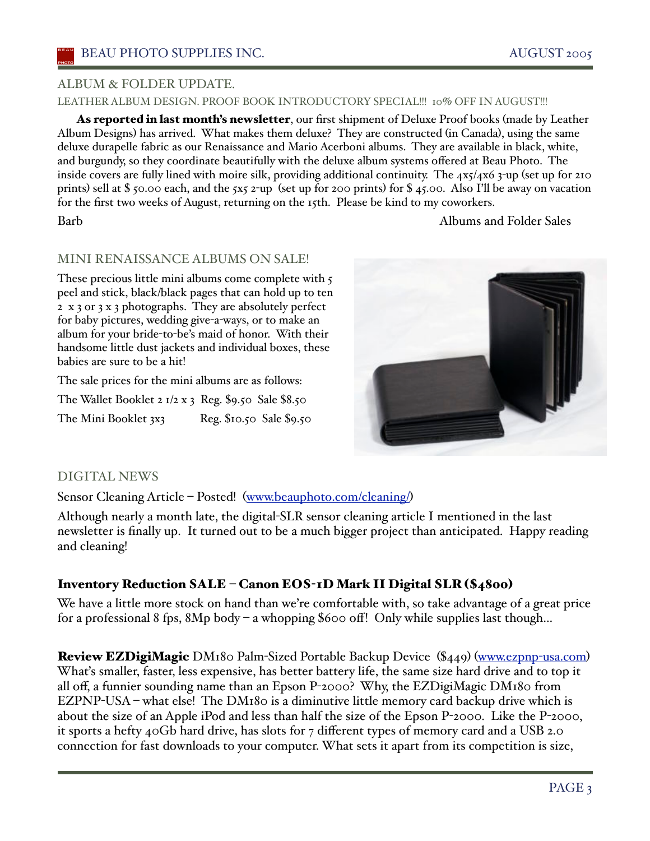### LEATHER ALBUM DESIGN. PROOF BOOK INTRODUCTORY SPECIAL!!! 10% OFF IN AUGUST!!!

As reported in last month's newsletter, our first shipment of Deluxe Proof books (made by Leather Album Designs) has arrived. What makes them deluxe? They are constructed (in Canada), using the same deluxe durapelle fabric as our Renaissance and Mario Acerboni albums. They are available in black, white, and burgundy, so they coordinate beautifully with the deluxe album systems offered at Beau Photo. The inside covers are fully lined with moire silk, providing additional continuity. The 4x5/4x6 3-up (set up for 210 prints) sell at \$50.00 each, and the 5x5 2-up (set up for 200 prints) for \$45.00. Also I'll be away on vacation for the first two weeks of August, returning on the 15th. Please be kind to my coworkers.

Barb **Albums** and Folder Sales

# MINI RENAISSANCE ALBUMS ON SALE!

These precious little mini albums come complete with 5 peel and stick, black/black pages that can hold up to ten 2 x 3 or 3 x 3 photographs. They are absolutely perfect for baby pictures, wedding give-a-ways, or to make an album for your bride-to-be's maid of honor. With their handsome little dust jackets and individual boxes, these babies are sure to be a hit!

The sale prices for the mini albums are as follows:

The Wallet Booklet 2  $1/2$  x 3 Reg. \$9.50 Sale \$8.50 The Mini Booklet 3x3 Reg. \$10.50 Sale \$9.50



# DIGITAL NEWS

Sensor Cleaning Article – Posted! (www.beauphoto.com/cleaning/)

Although nearly a month late, the digital-SLR sensor cleaning article I mentioned in the last newsletter is finally up. It turned out to be a much bigger project than anticipated. Happy reading and cleaning!

# Inventory Reduction SALE – Canon EOS-1D Mark II Digital SLR (\$4800)

We have a little more stock on hand than we're comfortable with, so take advantage of a great price for a professional 8 fps,  $8Mp$  body – a whopping \$600 off! Only while supplies last though...

Review EZDigiMagic DM180 Palm-Sized Portable Backup Device (\$449) (www.ezpnp-usa.com) Whaťs smaller, faster, less expensive, has better battery life, the same size hard drive and to top it all off, a funnier sounding name than an Epson P-2000? Why, the EZDigiMagic DM180 from EZPNP-USA – what else! The DM180 is a diminutive little memory card backup drive which is about the size of an Apple iPod and less than half the size of the Epson P-2000. Like the P-2000, it sports a hefty 40Gb hard drive, has slots for 7 different types of memory card and a USB 2.0 connection for fast downloads to your computer. What sets it apart from its competition is size,